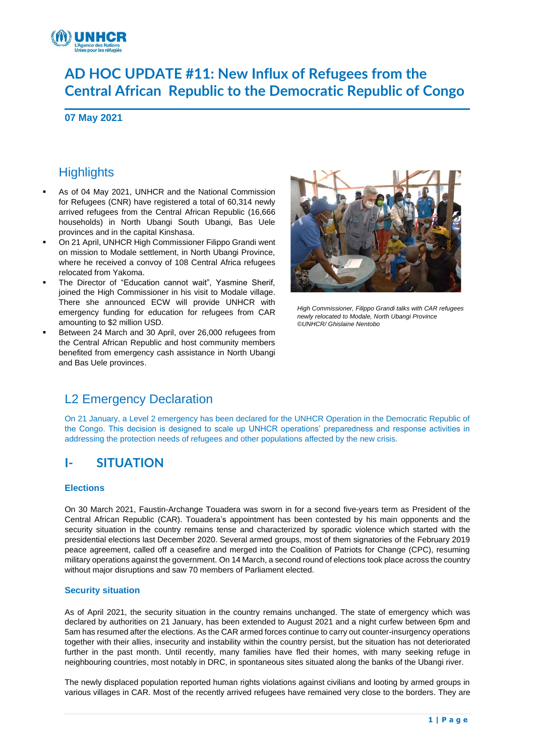

# **AD HOC UPDATE #11: New Influx of Refugees from the Central African Republic to the Democratic Republic of Congo**

**07 May 2021**

## **Highlights**

- As of 04 May 2021, UNHCR and the National Commission for Refugees (CNR) have registered a total of 60,314 newly arrived refugees from the Central African Republic (16,666 households) in North Ubangi South Ubangi, Bas Uele provinces and in the capital Kinshasa.
- On 21 April, UNHCR High Commissioner Filippo Grandi went on mission to Modale settlement, in North Ubangi Province, where he received a convoy of 108 Central Africa refugees relocated from Yakoma.
- The Director of "Education cannot wait", Yasmine Sherif, joined the High Commissioner in his visit to Modale village. There she announced ECW will provide UNHCR with emergency funding for education for refugees from CAR amounting to \$2 million USD.
- Between 24 March and 30 April, over 26,000 refugees from the Central African Republic and host community members benefited from emergency cash assistance in North Ubangi and Bas Uele provinces.



*High Commissioner, Filippo Grandi talks with CAR refugees newly relocated to Modale, North Ubangi Province ©UNHCR/ Ghislaine Nentobo*

## L2 Emergency Declaration

On 21 January, a Level 2 emergency has been declared for the UNHCR Operation in the Democratic Republic of the Congo. This decision is designed to scale up UNHCR operations' preparedness and response activities in addressing the protection needs of refugees and other populations affected by the new crisis.

## **I- SITUATION**

#### **Elections**

On 30 March 2021, Faustin-Archange Touadera was sworn in for a second five-years term as President of the Central African Republic (CAR). Touadera's appointment has been contested by his main opponents and the security situation in the country remains tense and characterized by sporadic violence which started with the presidential elections last December 2020. Several armed groups, most of them signatories of the February 2019 peace agreement, called off a ceasefire and merged into the Coalition of Patriots for Change (CPC), resuming military operations against the government. On 14 March, a second round of elections took place across the country without major disruptions and saw 70 members of Parliament elected.

#### **Security situation**

As of April 2021, the security situation in the country remains unchanged. The state of emergency which was declared by authorities on 21 January, has been extended to August 2021 and a night curfew between 6pm and 5am has resumed after the elections. As the CAR armed forces continue to carry out counter-insurgency operations together with their allies, insecurity and instability within the country persist, but the situation has not deteriorated further in the past month. Until recently, many families have fled their homes, with many seeking refuge in neighbouring countries, most notably in DRC, in spontaneous sites situated along the banks of the Ubangi river.

The newly displaced population reported human rights violations against civilians and looting by armed groups in various villages in CAR. Most of the recently arrived refugees have remained very close to the borders. They are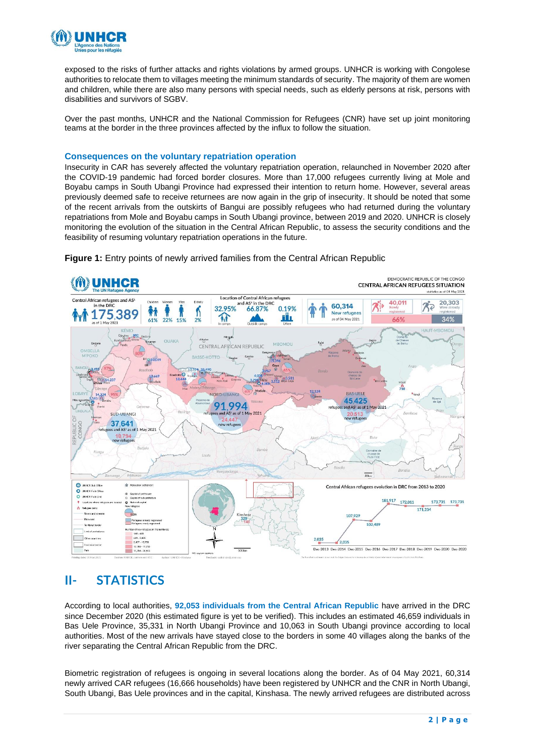

exposed to the risks of further attacks and rights violations by armed groups. UNHCR is working with Congolese authorities to relocate them to villages meeting the minimum standards of security. The majority of them are women and children, while there are also many persons with special needs, such as elderly persons at risk, persons with disabilities and survivors of SGBV.

Over the past months, UNHCR and the National Commission for Refugees (CNR) have set up joint monitoring teams at the border in the three provinces affected by the influx to follow the situation.

#### **Consequences on the voluntary repatriation operation**

Insecurity in CAR has severely affected the voluntary repatriation operation, relaunched in November 2020 after the COVID-19 pandemic had forced border closures. More than 17,000 refugees currently living at Mole and Boyabu camps in South Ubangi Province had expressed their intention to return home. However, several areas previously deemed safe to receive returnees are now again in the grip of insecurity. It should be noted that some of the recent arrivals from the outskirts of Bangui are possibly refugees who had returned during the voluntary repatriations from Mole and Boyabu camps in South Ubangi province, between 2019 and 2020. UNHCR is closely monitoring the evolution of the situation in the Central African Republic, to assess the security conditions and the feasibility of resuming voluntary repatriation operations in the future.



**Figure 1:** Entry points of newly arrived families from the Central African Republic

## **II- STATISTICS**

According to local authorities, **92,053 individuals from the Central African Republic** have arrived in the DRC since December 2020 (this estimated figure is yet to be verified). This includes an estimated 46,659 individuals in Bas Uele Province, 35,331 in North Ubangi Province and 10,063 in South Ubangi province according to local authorities. Most of the new arrivals have stayed close to the borders in some 40 villages along the banks of the river separating the Central African Republic from the DRC.

Biometric registration of refugees is ongoing in several locations along the border. As of 04 May 2021, 60,314 newly arrived CAR refugees (16,666 households) have been registered by UNHCR and the CNR in North Ubangi, South Ubangi, Bas Uele provinces and in the capital, Kinshasa. The newly arrived refugees are distributed across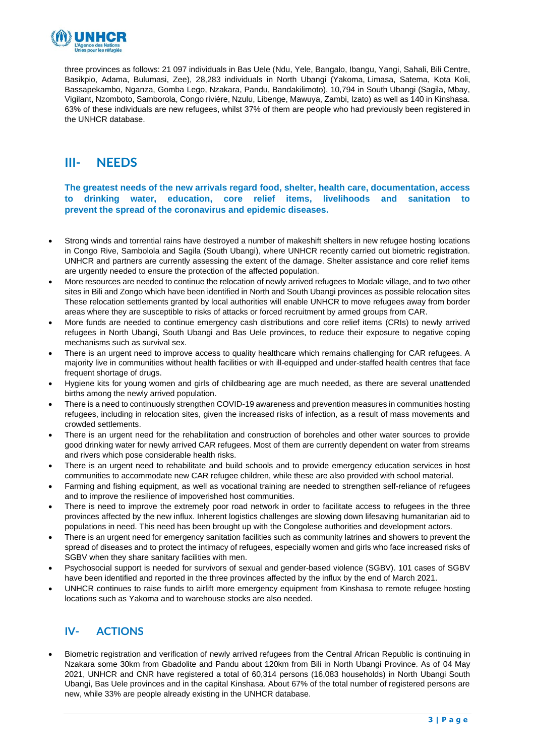

three provinces as follows: 21 097 individuals in Bas Uele (Ndu, Yele, Bangalo, Ibangu, Yangi, Sahali, Bili Centre, Basikpio, Adama, Bulumasi, Zee), 28,283 individuals in North Ubangi (Yakoma, Limasa, Satema, Kota Koli, Bassapekambo, Nganza, Gomba Lego, Nzakara, Pandu, Bandakilimoto), 10,794 in South Ubangi (Sagila, Mbay, Vigilant, Nzomboto, Samborola, Congo rivière, Nzulu, Libenge, Mawuya, Zambi, Izato) as well as 140 in Kinshasa. 63% of these individuals are new refugees, whilst 37% of them are people who had previously been registered in the UNHCR database.

### **III- NEEDS**

**The greatest needs of the new arrivals regard food, shelter, health care, documentation, access to drinking water, education, core relief items, livelihoods and sanitation to prevent the spread of the coronavirus and epidemic diseases.** 

- Strong winds and torrential rains have destroyed a number of makeshift shelters in new refugee hosting locations in Congo Rive, Sambolola and Sagila (South Ubangi), where UNHCR recently carried out biometric registration. UNHCR and partners are currently assessing the extent of the damage. Shelter assistance and core relief items are urgently needed to ensure the protection of the affected population.
- More resources are needed to continue the relocation of newly arrived refugees to Modale village, and to two other sites in Bili and Zongo which have been identified in North and South Ubangi provinces as possible relocation sites These relocation settlements granted by local authorities will enable UNHCR to move refugees away from border areas where they are susceptible to risks of attacks or forced recruitment by armed groups from CAR.
- More funds are needed to continue emergency cash distributions and core relief items (CRIs) to newly arrived refugees in North Ubangi, South Ubangi and Bas Uele provinces, to reduce their exposure to negative coping mechanisms such as survival sex.
- There is an urgent need to improve access to quality healthcare which remains challenging for CAR refugees. A majority live in communities without health facilities or with ill-equipped and under-staffed health centres that face frequent shortage of drugs.
- Hygiene kits for young women and girls of childbearing age are much needed, as there are several unattended births among the newly arrived population.
- There is a need to continuously strengthen COVID-19 awareness and prevention measures in communities hosting refugees, including in relocation sites, given the increased risks of infection, as a result of mass movements and crowded settlements.
- There is an urgent need for the rehabilitation and construction of boreholes and other water sources to provide good drinking water for newly arrived CAR refugees. Most of them are currently dependent on water from streams and rivers which pose considerable health risks.
- There is an urgent need to rehabilitate and build schools and to provide emergency education services in host communities to accommodate new CAR refugee children, while these are also provided with school material.
- Farming and fishing equipment, as well as vocational training are needed to strengthen self-reliance of refugees and to improve the resilience of impoverished host communities.
- There is need to improve the extremely poor road network in order to facilitate access to refugees in the three provinces affected by the new influx. Inherent logistics challenges are slowing down lifesaving humanitarian aid to populations in need. This need has been brought up with the Congolese authorities and development actors.
- There is an urgent need for emergency sanitation facilities such as community latrines and showers to prevent the spread of diseases and to protect the intimacy of refugees, especially women and girls who face increased risks of SGBV when they share sanitary facilities with men.
- Psychosocial support is needed for survivors of sexual and gender-based violence (SGBV). 101 cases of SGBV have been identified and reported in the three provinces affected by the influx by the end of March 2021.
- UNHCR continues to raise funds to airlift more emergency equipment from Kinshasa to remote refugee hosting locations such as Yakoma and to warehouse stocks are also needed.

### **IV- ACTIONS**

• Biometric registration and verification of newly arrived refugees from the Central African Republic is continuing in Nzakara some 30km from Gbadolite and Pandu about 120km from Bili in North Ubangi Province. As of 04 May 2021, UNHCR and CNR have registered a total of 60,314 persons (16,083 households) in North Ubangi South Ubangi, Bas Uele provinces and in the capital Kinshasa. About 67% of the total number of registered persons are new, while 33% are people already existing in the UNHCR database.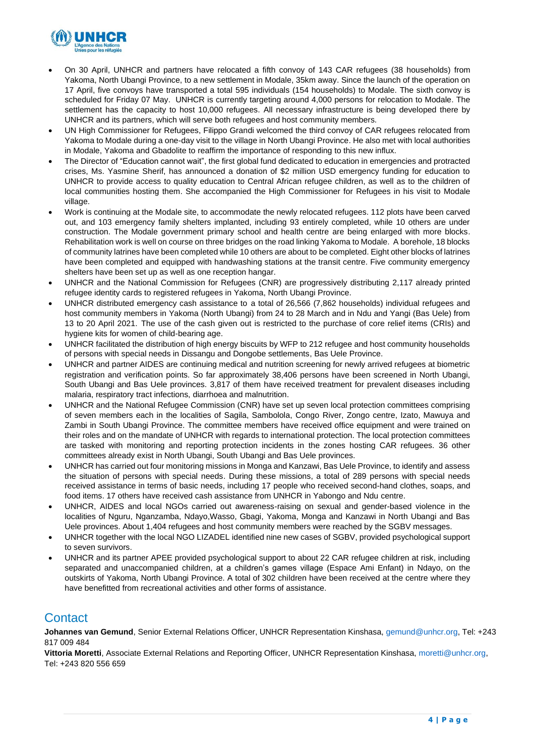

- On 30 April, UNHCR and partners have relocated a fifth convoy of 143 CAR refugees (38 households) from Yakoma, North Ubangi Province, to a new settlement in Modale, 35km away. Since the launch of the operation on 17 April, five convoys have transported a total 595 individuals (154 households) to Modale. The sixth convoy is scheduled for Friday 07 May. UNHCR is currently targeting around 4,000 persons for relocation to Modale. The settlement has the capacity to host 10,000 refugees. All necessary infrastructure is being developed there by UNHCR and its partners, which will serve both refugees and host community members.
- UN High Commissioner for Refugees, Filippo Grandi welcomed the third convoy of CAR refugees relocated from Yakoma to Modale during a one-day visit to the village in North Ubangi Province. He also met with local authorities in Modale, Yakoma and Gbadolite to reaffirm the importance of responding to this new influx.
- The Director of "Education cannot wait", the first global fund dedicated to education in emergencies and protracted crises, Ms. Yasmine Sherif, has announced a donation of \$2 million USD emergency funding for education to UNHCR to provide access to quality education to Central African refugee children, as well as to the children of local communities hosting them. She accompanied the High Commissioner for Refugees in his visit to Modale village.
- Work is continuing at the Modale site, to accommodate the newly relocated refugees. 112 plots have been carved out, and 103 emergency family shelters implanted, including 93 entirely completed, while 10 others are under construction. The Modale government primary school and health centre are being enlarged with more blocks. Rehabilitation work is well on course on three bridges on the road linking Yakoma to Modale. A borehole, 18 blocks of community latrines have been completed while 10 others are about to be completed. Eight other blocks of latrines have been completed and equipped with handwashing stations at the transit centre. Five community emergency shelters have been set up as well as one reception hangar.
- UNHCR and the National Commission for Refugees (CNR) are progressively distributing 2,117 already printed refugee identity cards to registered refugees in Yakoma, North Ubangi Province.
- UNHCR distributed emergency cash assistance to a total of 26,566 (7,862 households) individual refugees and host community members in Yakoma (North Ubangi) from 24 to 28 March and in Ndu and Yangi (Bas Uele) from 13 to 20 April 2021. The use of the cash given out is restricted to the purchase of core relief items (CRIs) and hygiene kits for women of child-bearing age.
- UNHCR facilitated the distribution of high energy biscuits by WFP to 212 refugee and host community households of persons with special needs in Dissangu and Dongobe settlements, Bas Uele Province.
- UNHCR and partner AIDES are continuing medical and nutrition screening for newly arrived refugees at biometric registration and verification points. So far approximately 38,406 persons have been screened in North Ubangi, South Ubangi and Bas Uele provinces. 3,817 of them have received treatment for prevalent diseases including malaria, respiratory tract infections, diarrhoea and malnutrition.
- UNHCR and the National Refugee Commission (CNR) have set up seven local protection committees comprising of seven members each in the localities of Sagila, Sambolola, Congo River, Zongo centre, Izato, Mawuya and Zambi in South Ubangi Province. The committee members have received office equipment and were trained on their roles and on the mandate of UNHCR with regards to international protection. The local protection committees are tasked with monitoring and reporting protection incidents in the zones hosting CAR refugees. 36 other committees already exist in North Ubangi, South Ubangi and Bas Uele provinces.
- UNHCR has carried out four monitoring missions in Monga and Kanzawi, Bas Uele Province, to identify and assess the situation of persons with special needs. During these missions, a total of 289 persons with special needs received assistance in terms of basic needs, including 17 people who received second-hand clothes, soaps, and food items. 17 others have received cash assistance from UNHCR in Yabongo and Ndu centre.
- UNHCR, AIDES and local NGOs carried out awareness-raising on sexual and gender-based violence in the localities of Nguru, Nganzamba, Ndayo,Wasso, Gbagi, Yakoma, Monga and Kanzawi in North Ubangi and Bas Uele provinces. About 1,404 refugees and host community members were reached by the SGBV messages.
- UNHCR together with the local NGO LIZADEL identified nine new cases of SGBV, provided psychological support to seven survivors.
- UNHCR and its partner APEE provided psychological support to about 22 CAR refugee children at risk, including separated and unaccompanied children, at a children's games village (Espace Ami Enfant) in Ndayo, on the outskirts of Yakoma, North Ubangi Province. A total of 302 children have been received at the centre where they have benefitted from recreational activities and other forms of assistance.

## **Contact**

**Johannes van Gemund**, Senior External Relations Officer, UNHCR Representation Kinshasa[, gemund@unhcr.org,](mailto:gemund@unhcr.org) Tel: +243 817 009 484

**Vittoria Moretti**, Associate External Relations and Reporting Officer, UNHCR Representation Kinshasa, [moretti@unhcr.org,](mailto:moretti@unhcr.org) Tel: +243 820 556 659